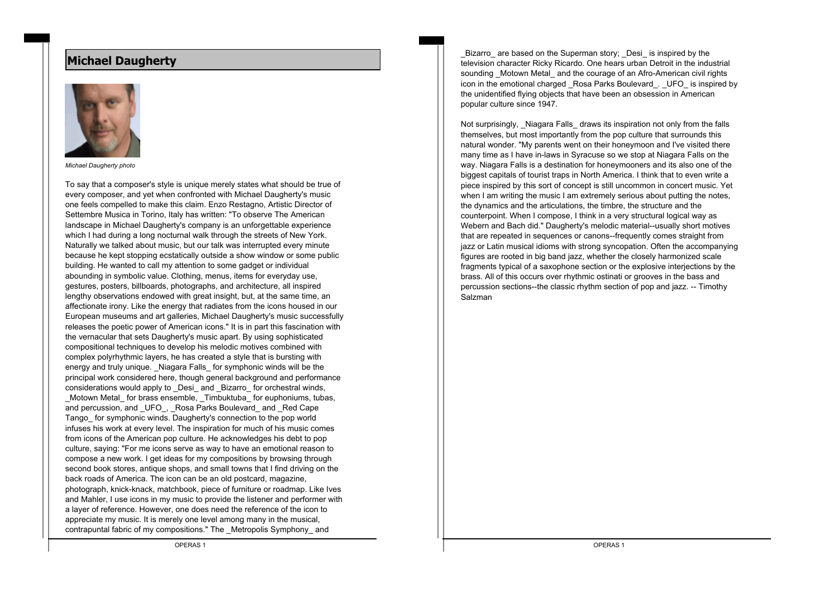# **Michael Daugherty**



*Michael Daugherty photo*

To say that a composer's style is unique merely states what should be true of every composer, and yet when confronted with Michael Daugherty's music one feels compelled to make this claim. Enzo Restagno, Artistic Director of Settembre Musica in Torino, Italy has written: "To observe The American landscape in Michael Daugherty's company is an unforgettable experience which I had during a long nocturnal walk through the streets of New York. Naturally we talked about music, but our talk was interrupted every minute because he kept stopping ecstatically outside a show window or some public building. He wanted to call my attention to some gadget or individual abounding in symbolic value. Clothing, menus, items for everyday use, gestures, posters, billboards, photographs, and architecture, all inspired lengthy observations endowed with great insight, but, at the same time, an affectionate irony. Like the energy that radiates from the icons housed in our European museums and art galleries, Michael Daugherty's music successfully releases the poetic power of American icons." It is in part this fascination with the vernacular that sets Daugherty's music apart. By using sophisticated compositional techniques to develop his melodic motives combined with complex polyrhythmic layers, he has created a style that is bursting with energy and truly unique. Niagara Falls for symphonic winds will be the principal work considered here, though general background and performance considerations would apply to \_Desi\_ and \_Bizarro\_ for orchestral winds, Motown Metal for brass ensemble, Timbuktuba for euphoniums, tubas, and percussion, and UFO, Rosa Parks Boulevard and Red Cape Tango\_ for symphonic winds. Daugherty's connection to the pop world infuses his work at every level. The inspiration for much of his music comes from icons of the American pop culture. He acknowledges his debt to pop culture, saying: "For me icons serve as way to have an emotional reason to compose a new work. I get ideas for my compositions by browsing through second book stores, antique shops, and small towns that I find driving on the back roads of America. The icon can be an old postcard, magazine, photograph, knick-knack, matchbook, piece of furniture or roadmap. Like Ives and Mahler, I use icons in my music to provide the listener and performer with a layer of reference. However, one does need the reference of the icon to appreciate my music. It is merely one level among many in the musical, contrapuntal fabric of my compositions." The \_Metropolis Symphony\_ and

Bizarro are based on the Superman story; Desi is inspired by the television character Ricky Ricardo. One hears urban Detroit in the industrial sounding Motown Metal and the courage of an Afro-American civil rights icon in the emotional charged Rosa Parks Boulevard . UFO is inspired by the unidentified flying objects that have been an obsession in American popular culture since 1947.

Not surprisingly. Niagara Falls draws its inspiration not only from the falls themselves, but most importantly from the pop culture that surrounds this natural wonder. "My parents went on their honeymoon and I've visited there many time as I have in-laws in Syracuse so we stop at Niagara Falls on the way. Niagara Falls is a destination for honeymooners and its also one of the biggest capitals of tourist traps in North America. I think that to even write a piece inspired by this sort of concept is still uncommon in concert music. Yet when I am writing the music I am extremely serious about putting the notes. the dynamics and the articulations, the timbre, the structure and the counterpoint. When I compose, I think in a very structural logical way as Webern and Bach did." Daugherty's melodic material--usually short motives that are repeated in sequences or canons--frequently comes straight from jazz or Latin musical idioms with strong syncopation. Often the accompanying figures are rooted in big band jazz, whether the closely harmonized scale fragments typical of a saxophone section or the explosive interjections by the brass. All of this occurs over rhythmic ostinati or grooves in the bass and percussion sections--the classic rhythm section of pop and jazz. -- Timothy Salzman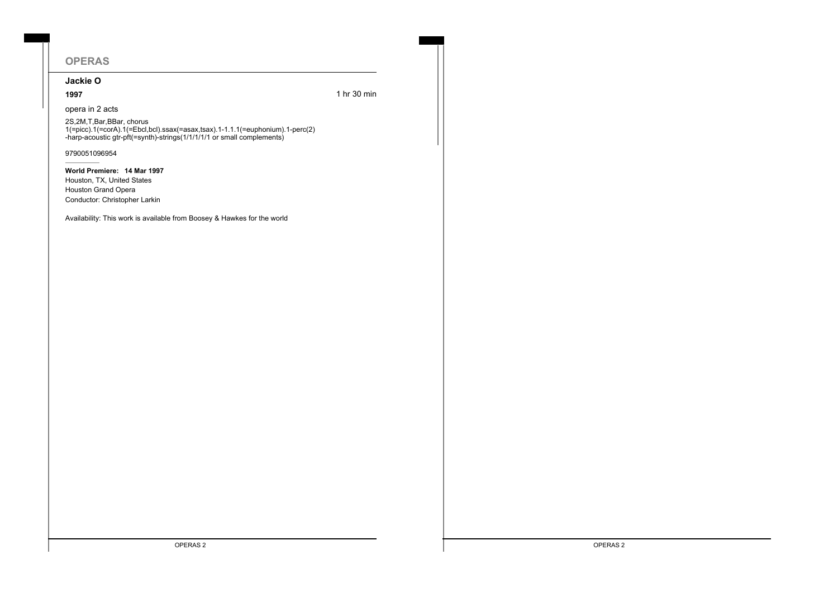# **OPERAS**

# **Jackie O**

**1997** 1 hr 30 min

opera in 2 acts

2S,2M,T,Bar,BBar, chorus 1(=picc).1(=corA).1(=Ebcl,bcl).ssax(=asax,tsax).1-1.1.1(=euphonium).1-perc(2) -harp-acoustic gtr-pft(=synth)-strings(1/1/1/1/1 or small complements)

9790051096954

**World Premiere: 14 Mar 1997** Houston, TX, United States Houston Grand Opera Conductor: Christopher Larkin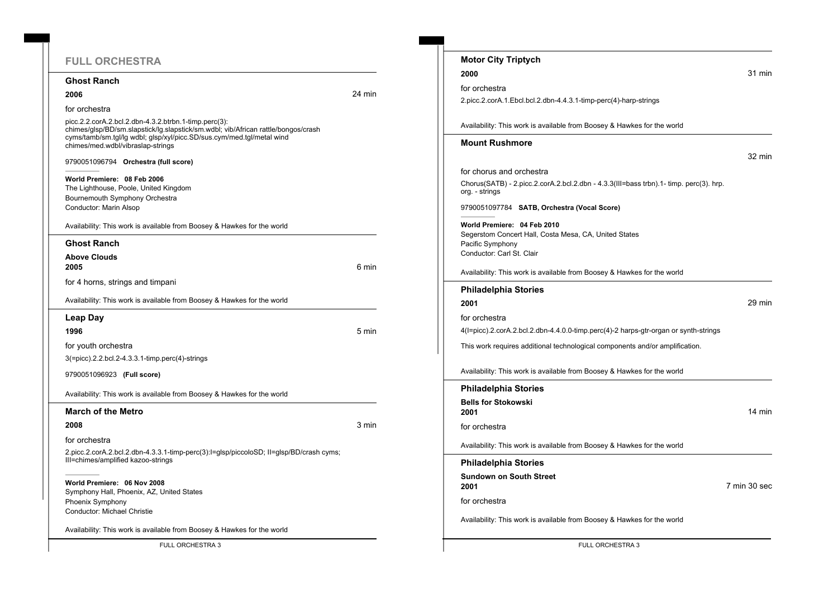# **FULL ORCHESTRA**

## **Ghost Ranch**

#### **2006** 24 min

for orchestra

picc.2.2.corA.2.bcl.2.dbn-4.3.2.btrbn.1-timp.perc(3): chimes/glsp/BD/sm.slapstick/lg.slapstick/sm.wdbl; vib/African rattle/bongos/crash cyms/tamb/sm.tgl/lg wdbl; glsp/xyl/picc.SD/sus.cym/med.tgl/metal wind chimes/med.wdbl/vibraslap-strings

9790051096794 **Orchestra (full score)**

**World Premiere: 08 Feb 2006** The Lighthouse, Poole, United Kingdom Bournemouth Symphony Orchestra Conductor: Marin Alsop

Availability: This work is available from Boosey & Hawkes for the world

### **Ghost Ranch**

**Above Clouds 2005** 6 min

for 4 horns, strings and timpani

Availability: This work is available from Boosey & Hawkes for the world

#### **Leap Day**

**1996** 5 min

for youth orchestra

3(=picc).2.2.bcl.2-4.3.3.1-timp.perc(4)-strings

9790051096923 **(Full score)**

Availability: This work is available from Boosey & Hawkes for the world

# **March of the Metro**

**2008** 3 min

for orchestra

2.picc.2.corA.2.bcl.2.dbn-4.3.3.1-timp-perc(3):I=glsp/piccoloSD; II=glsp/BD/crash cyms; III=chimes/amplified kazoo-strings

**World Premiere: 06 Nov 2008** Symphony Hall, Phoenix, AZ, United States Phoenix Symphony

Conductor: Michael Christie

Availability: This work is available from Boosey & Hawkes for the world

| <b>Motor City Triptych</b>                                                                                                            |              |
|---------------------------------------------------------------------------------------------------------------------------------------|--------------|
| 2000                                                                                                                                  | 31 min       |
| for orchestra                                                                                                                         |              |
| 2.picc.2.corA.1.Ebcl.bcl.2.dbn-4.4.3.1-timp-perc(4)-harp-strings                                                                      |              |
| Availability: This work is available from Boosey & Hawkes for the world                                                               |              |
| Mount Rushmore                                                                                                                        |              |
|                                                                                                                                       | 32 min       |
| for chorus and orchestra                                                                                                              |              |
| Chorus(SATB) - 2.picc.2.corA.2.bcl.2.dbn - 4.3.3(III=bass trbn).1- timp. perc(3). hrp.<br>org. - strings                              |              |
| 9790051097784 SATB, Orchestra (Vocal Score)                                                                                           |              |
| World Premiere: 04 Feb 2010<br>Segerstom Concert Hall, Costa Mesa, CA, United States<br>Pacific Symphony<br>Conductor: Carl St. Clair |              |
| Availability: This work is available from Boosey & Hawkes for the world                                                               |              |
| Philadelphia Stories                                                                                                                  |              |
| 2001                                                                                                                                  | 29 min       |
| for orchestra                                                                                                                         |              |
| 4(I=picc).2.corA.2.bcl.2.dbn-4.4.0.0-timp.perc(4)-2 harps-gtr-organ or synth-strings                                                  |              |
| This work requires additional technological components and/or amplification.                                                          |              |
| Availability: This work is available from Boosey & Hawkes for the world                                                               |              |
| Philadelphia Stories                                                                                                                  |              |
| <b>Bells for Stokowski</b><br>2001                                                                                                    | 14 min       |
| for orchestra                                                                                                                         |              |
| Availability: This work is available from Boosey & Hawkes for the world                                                               |              |
| Philadelphia Stories                                                                                                                  |              |
| Sundown on South Street<br>2001                                                                                                       | 7 min 30 sec |
| for orchestra                                                                                                                         |              |
| Availability: This work is available from Boosey & Hawkes for the world                                                               |              |
|                                                                                                                                       |              |

FULL ORCHESTRA 3 FULL ORCHESTRA 3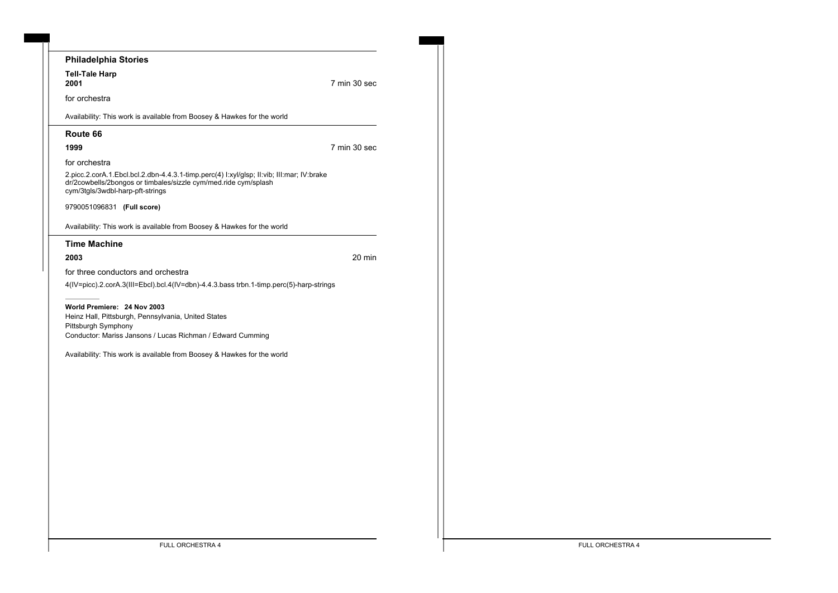| Philadelphia Stories                                                                                                                                                                             |                  |
|--------------------------------------------------------------------------------------------------------------------------------------------------------------------------------------------------|------------------|
| <b>Tell-Tale Harp</b><br>2001                                                                                                                                                                    | 7 min 30 sec     |
| for orchestra                                                                                                                                                                                    |                  |
| Availability: This work is available from Boosey & Hawkes for the world                                                                                                                          |                  |
| Route 66                                                                                                                                                                                         |                  |
| 1999                                                                                                                                                                                             | 7 min 30 sec     |
| for orchestra                                                                                                                                                                                    |                  |
| 2.picc.2.corA.1.Ebcl.bcl.2.dbn-4.4.3.1-timp.perc(4) l:xyl/glsp; ll:vib; lll:mar; lV:brake<br>dr/2cowbells/2bongos or timbales/sizzle cym/med.ride cym/splash<br>cym/3tgls/3wdbl-harp-pft-strings |                  |
| 9790051096831 (Full score)                                                                                                                                                                       |                  |
| Availability: This work is available from Boosey & Hawkes for the world                                                                                                                          |                  |
| <b>Time Machine</b>                                                                                                                                                                              |                  |
| 2003                                                                                                                                                                                             | $20 \text{ min}$ |
| for three conductors and orchestra                                                                                                                                                               |                  |
| 4(IV=picc).2.corA.3(III=Ebcl).bcl.4(IV=dbn)-4.4.3.bass trbn.1-timp.perc(5)-harp-strings                                                                                                          |                  |
| World Premiere: 24 Nov 2003                                                                                                                                                                      |                  |
| Heinz Hall, Pittsburgh, Pennsylvania, United States                                                                                                                                              |                  |
| Pittsburgh Symphony<br>Conductor: Mariss Jansons / Lucas Richman / Edward Cumming                                                                                                                |                  |
|                                                                                                                                                                                                  |                  |
| Availability: This work is available from Boosey & Hawkes for the world                                                                                                                          |                  |
|                                                                                                                                                                                                  |                  |
|                                                                                                                                                                                                  |                  |
|                                                                                                                                                                                                  |                  |
|                                                                                                                                                                                                  |                  |
|                                                                                                                                                                                                  |                  |
|                                                                                                                                                                                                  |                  |
|                                                                                                                                                                                                  |                  |
|                                                                                                                                                                                                  |                  |
|                                                                                                                                                                                                  |                  |
|                                                                                                                                                                                                  |                  |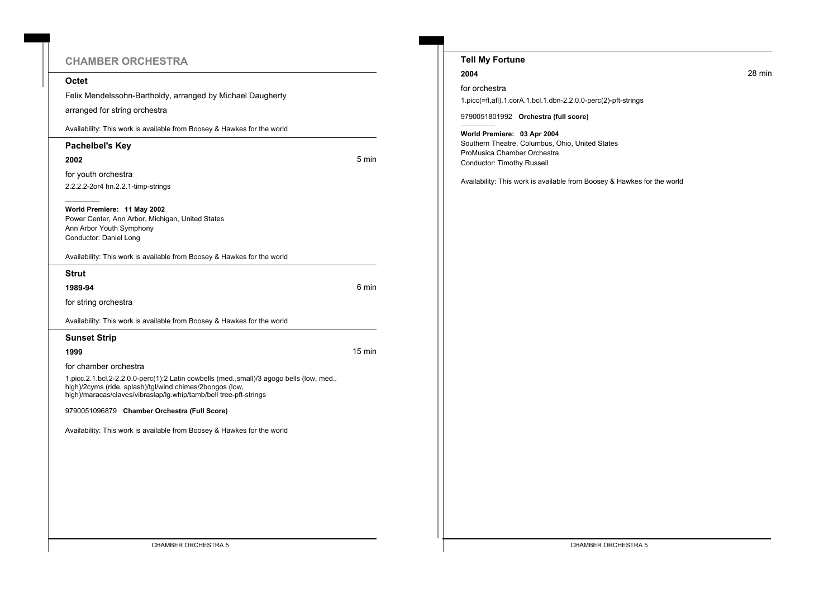# **CHAMBER ORCHESTRA**

# **Octet**

Felix Mendelssohn-Bartholdy, arranged by Michael Daugherty

arranged for string orchestra

Availability: This work is available from Boosey & Hawkes for the world

## **Pachelbel's Key**

**2002** 5 min

for youth orchestra 2.2.2.2-2or4 hn.2.2.1-timp-strings

**World Premiere: 11 May 2002** Power Center, Ann Arbor, Michigan, United States Ann Arbor Youth Symphony Conductor: Daniel Long

Availability: This work is available from Boosey & Hawkes for the world

**Strut**

**1989-94** 6 min

for string orchestra

Availability: This work is available from Boosey & Hawkes for the world

# **Sunset Strip**

**1999** 15 min

for chamber orchestra

1.picc.2.1.bcl.2-2.2.0.0-perc(1):2 Latin cowbells (med.,small)/3 agogo bells (low, med., high)/2cyms (ride, splash)/tgl/wind chimes/2bongos (low, high)/maracas/claves/vibraslap/lg.whip/tamb/bell tree-pft-strings

9790051096879 **Chamber Orchestra (Full Score)**

| <b>Tell My Fortune</b>                                                                                                                      |        |
|---------------------------------------------------------------------------------------------------------------------------------------------|--------|
| 2004                                                                                                                                        | 28 min |
| for orchestra                                                                                                                               |        |
| 1.picc(=fl,afl).1.corA.1.bcl.1.dbn-2.2.0.0-perc(2)-pft-strings                                                                              |        |
| 9790051801992 Orchestra (full score)                                                                                                        |        |
| World Premiere: 03 Apr 2004<br>Southern Theatre, Columbus, Ohio, United States<br>ProMusica Chamber Orchestra<br>Conductor: Timothy Russell |        |
| Availability: This work is available from Boosey & Hawkes for the world                                                                     |        |
|                                                                                                                                             |        |
|                                                                                                                                             |        |
|                                                                                                                                             |        |
|                                                                                                                                             |        |
|                                                                                                                                             |        |
|                                                                                                                                             |        |
|                                                                                                                                             |        |
|                                                                                                                                             |        |
|                                                                                                                                             |        |
|                                                                                                                                             |        |
|                                                                                                                                             |        |
|                                                                                                                                             |        |
|                                                                                                                                             |        |
|                                                                                                                                             |        |
|                                                                                                                                             |        |
|                                                                                                                                             |        |
|                                                                                                                                             |        |
|                                                                                                                                             |        |
|                                                                                                                                             |        |
|                                                                                                                                             |        |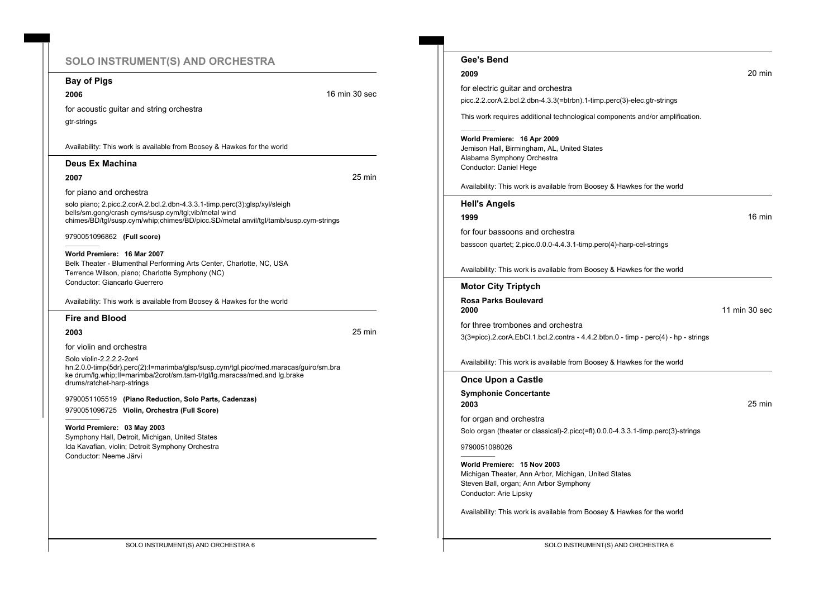# **SOLO INSTRUMENT(S) AND ORCHESTRA**

**Bay of Pigs**

**2006 16 min 30 second 16 min 30 second 16 min 30 second 16 min 30 second 16 min 30 second 16 min 30 second 16 min 30 second 16 min 30 second 16 min 30 second 16 min 30 second 16 min 30 second 16 min 30 second 16 min 30** 

for acoustic guitar and string orchestra gtr-strings

Availability: This work is available from Boosey & Hawkes for the world

## **Deus Ex Machina**

**2007** 25 min

for piano and orchestra

solo piano; 2.picc.2.corA.2.bcl.2.dbn-4.3.3.1-timp.perc(3):glsp/xyl/sleigh bells/sm.gong/crash cyms/susp.cym/tgl;vib/metal wind chimes/BD/tgl/susp.cym/whip;chimes/BD/picc.SD/metal anvil/tgl/tamb/susp.cym-strings

9790051096862 **(Full score)**

**World Premiere: 16 Mar 2007** Belk Theater - Blumenthal Performing Arts Center, Charlotte, NC, USA Terrence Wilson, piano; Charlotte Symphony (NC) Conductor: Giancarlo Guerrero

Availability: This work is available from Boosey & Hawkes for the world

#### **Fire and Blood**

**2003** 25 min

for violin and orchestra

Solo violin-2.2.2.2-2or4 hn.2.0.0-timp(5dr).perc(2):I=marimba/glsp/susp.cym/tgl.picc/med.maracas/guiro/sm.bra ke drum/lg.whip;II=marimba/2crot/sm.tam-t/tgl/lg.maracas/med.and lg.brake drums/ratchet-harp-strings

9790051105519 **(Piano Reduction, Solo Parts, Cadenzas)** 9790051096725 **Violin, Orchestra (Full Score)**

**World Premiere: 03 May 2003** Symphony Hall, Detroit, Michigan, United States Ida Kavafian, violin; Detroit Symphony Orchestra Conductor: Neeme Järvi

**Gee's Bend 2009** 20 min for electric guitar and orchestra picc.2.2.corA.2.bcl.2.dbn-4.3.3(=btrbn).1-timp.perc(3)-elec.gtr-strings This work requires additional technological components and/or amplification. **World Premiere: 16 Apr 2009** Jemison Hall, Birmingham, AL, United States Alabama Symphony Orchestra Conductor: Daniel Hege Availability: This work is available from Boosey & Hawkes for the world **Hell's Angels 1999** 16 min for four bassoons and orchestra bassoon quartet; 2.picc.0.0.0-4.4.3.1-timp.perc(4)-harp-cel-strings Availability: This work is available from Boosey & Hawkes for the world **Motor City Triptych Rosa Parks Boulevard 2000** 11 min 30 sec for three trombones and orchestra 3(3=picc).2.corA.EbCl.1.bcl.2.contra - 4.4.2.btbn.0 - timp - perc(4) - hp - strings Availability: This work is available from Boosey & Hawkes for the world **Once Upon a Castle Symphonie Concertante 2003** 25 min for organ and orchestra Solo organ (theater or classical)-2.picc(=fl).0.0.0-4.3.3.1-timp.perc(3)-strings 9790051098026 **World Premiere: 15 Nov 2003** Michigan Theater, Ann Arbor, Michigan, United States Steven Ball, organ; Ann Arbor Symphony Conductor: Arie Lipsky Availability: This work is available from Boosey & Hawkes for the world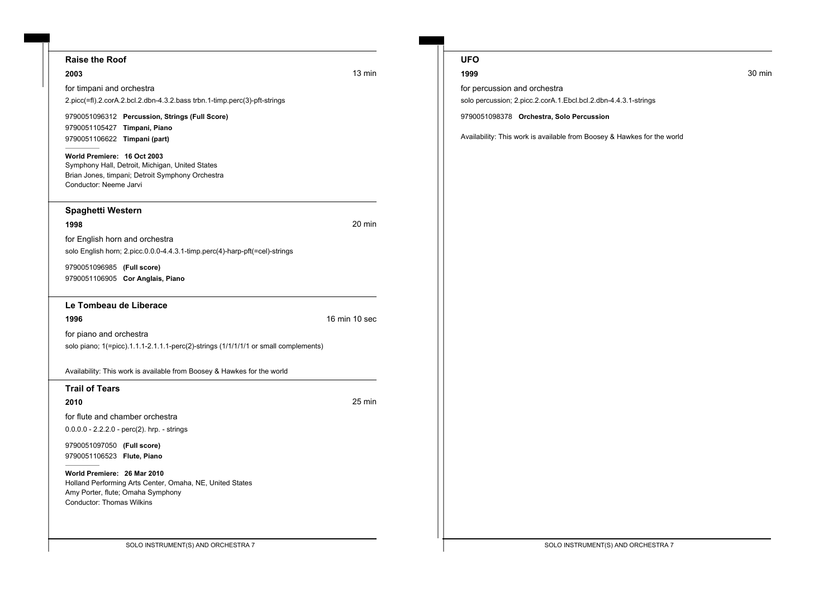## **Raise the Roof**

for timpani and orchestra

**2003** 13 min

2.picc(=fl).2.corA.2.bcl.2.dbn-4.3.2.bass trbn.1-timp.perc(3)-pft-strings

9790051096312 **Percussion, Strings (Full Score)** 9790051105427 **Timpani, Piano** 9790051106622 **Timpani (part)**

**World Premiere: 16 Oct 2003** Symphony Hall, Detroit, Michigan, United States Brian Jones, timpani; Detroit Symphony Orchestra Conductor: Neeme Jarvi

## **Spaghetti Western**

**1998** 20 min

for English horn and orchestra solo English horn; 2.picc.0.0.0-4.4.3.1-timp.perc(4)-harp-pft(=cel)-strings

9790051096985 **(Full score)** 9790051106905 **Cor Anglais, Piano**

# **Le Tombeau de Liberace**

**1996** 16 min 10 sec

for piano and orchestra

solo piano; 1(=picc).1.1.1-2.1.1.1-perc(2)-strings (1/1/1/1/1 or small complements)

Availability: This work is available from Boosey & Hawkes for the world

## **Trail of Tears**

**2010** 25 min

for flute and chamber orchestra

0.0.0.0 - 2.2.2.0 - perc(2). hrp. - strings

9790051097050 **(Full score)** 9790051106523 **Flute, Piano**

**World Premiere: 26 Mar 2010** Holland Performing Arts Center, Omaha, NE, United States Amy Porter, flute; Omaha Symphony Conductor: Thomas Wilkins

# **UFO**

for percussion and orchestra

solo percussion; 2.picc.2.corA.1.Ebcl.bcl.2.dbn-4.4.3.1-strings

9790051098378 **Orchestra, Solo Percussion**

Availability: This work is available from Boosey & Hawkes for the world

#### **1999** 30 min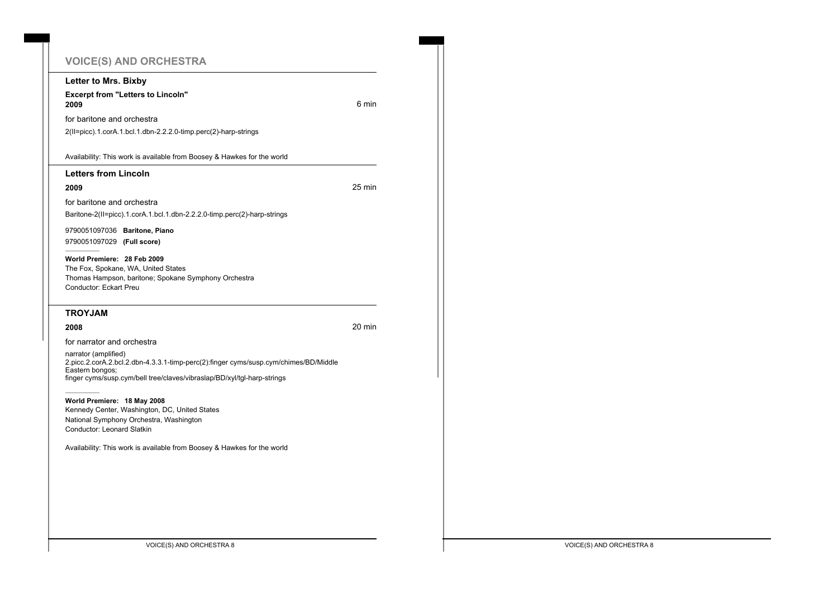# **VOICE(S) AND ORCHESTRA**

|  | Letter to Mrs. Bixby                                                                                                                                                                                       |        |
|--|------------------------------------------------------------------------------------------------------------------------------------------------------------------------------------------------------------|--------|
|  | <b>Excerpt from "Letters to Lincoln"</b><br>2009                                                                                                                                                           | 6 min  |
|  | for baritone and orchestra<br>2(II=picc).1.corA.1.bcl.1.dbn-2.2.2.0-timp.perc(2)-harp-strings                                                                                                              |        |
|  | Availability: This work is available from Boosey & Hawkes for the world                                                                                                                                    |        |
|  | <b>Letters from Lincoln</b>                                                                                                                                                                                |        |
|  | 2009                                                                                                                                                                                                       | 25 min |
|  | for baritone and orchestra<br>Baritone-2(II=picc).1.corA.1.bcl.1.dbn-2.2.2.0-timp.perc(2)-harp-strings                                                                                                     |        |
|  | 9790051097036 Baritone, Piano<br>9790051097029 (Full score)                                                                                                                                                |        |
|  | World Premiere: 28 Feb 2009<br>The Fox, Spokane, WA, United States<br>Thomas Hampson, baritone; Spokane Symphony Orchestra<br>Conductor: Eckart Preu                                                       |        |
|  | <b>TROYJAM</b>                                                                                                                                                                                             |        |
|  | 2008                                                                                                                                                                                                       | 20 min |
|  | for narrator and orchestra                                                                                                                                                                                 |        |
|  | narrator (amplified)<br>2.picc.2.corA.2.bcl.2.dbn-4.3.3.1-timp-perc(2):finger cyms/susp.cym/chimes/BD/Middle<br>Eastern bongos;<br>finger cyms/susp.cym/bell tree/claves/vibraslap/BD/xyl/tgl-harp-strings |        |
|  | World Premiere: 18 May 2008<br>Kennedy Center, Washington, DC, United States<br>National Symphony Orchestra, Washington<br><b>Conductor: Leonard Slatkin</b>                                               |        |
|  | Availability: This work is available from Boosey & Hawkes for the world                                                                                                                                    |        |
|  |                                                                                                                                                                                                            |        |
|  |                                                                                                                                                                                                            |        |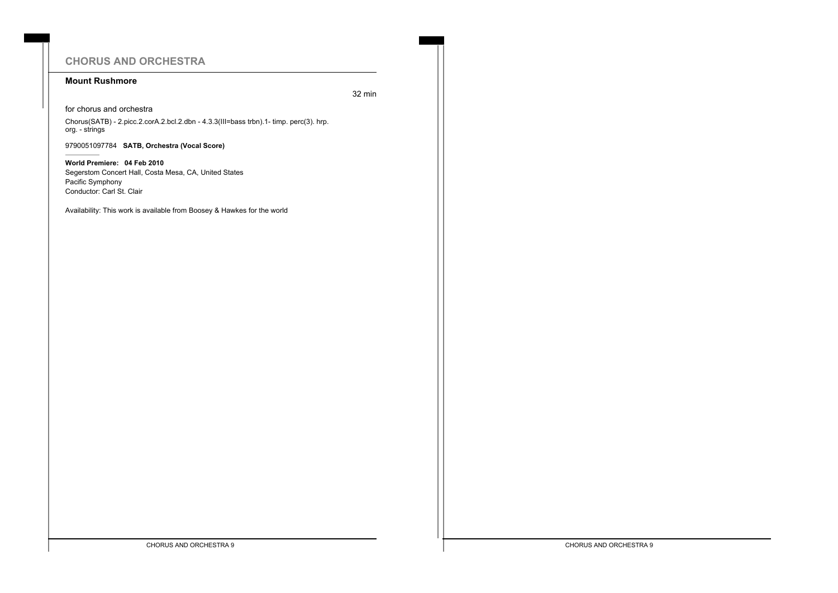# **CHORUS AND ORCHESTRA**

# **Mount Rushmore**

32 min

for chorus and orchestra

Chorus(SATB) - 2.picc.2.corA.2.bcl.2.dbn - 4.3.3(III=bass trbn).1- timp. perc(3). hrp. org. - strings

9790051097784 **SATB, Orchestra (Vocal Score)**

**World Premiere: 04 Feb 2010** Segerstom Concert Hall, Costa Mesa, CA, United States Pacific Symphony Conductor: Carl St. Clair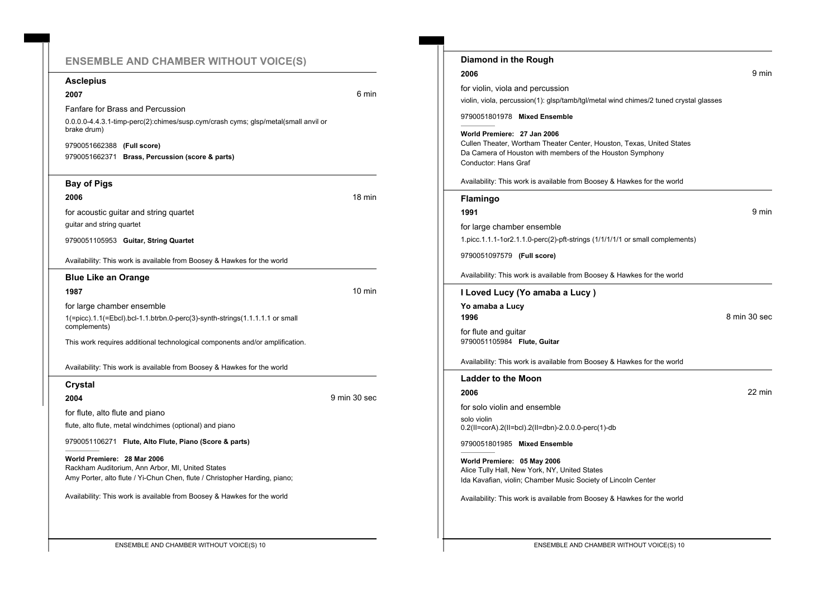# **ENSEMBLE AND CHAMBER WITHOUT VOICE(S)**

## **Asclepius**

## **2007** 6 min

Fanfare for Brass and Percussion

0.0.0.0-4.4.3.1-timp-perc(2):chimes/susp.cym/crash cyms; glsp/metal(small anvil or brake drum)

9790051662388 **(Full score)** 9790051662371 **Brass, Percussion (score & parts)**

# **Bay of Pigs**

**2006** 18 min

for acoustic guitar and string quartet

guitar and string quartet

9790051105953 **Guitar, String Quartet**

Availability: This work is available from Boosey & Hawkes for the world

## **Blue Like an Orange**

#### **1987** 10 min

for large chamber ensemble 1(=picc).1.1(=Ebcl).bcl-1.1.btrbn.0-perc(3)-synth-strings(1.1.1.1.1 or small complements)

This work requires additional technological components and/or amplification.

Availability: This work is available from Boosey & Hawkes for the world

#### **Crystal**

**2004** 9 min 30 sec

for flute, alto flute and piano

flute, alto flute, metal windchimes (optional) and piano

9790051106271 **Flute, Alto Flute, Piano (Score & parts)**

**World Premiere: 28 Mar 2006** Rackham Auditorium, Ann Arbor, MI, United States Amy Porter, alto flute / Yi-Chun Chen, flute / Christopher Harding, piano;

Availability: This work is available from Boosey & Hawkes for the world

| Diamond in the Rough                                                                                                                                                                      |              |
|-------------------------------------------------------------------------------------------------------------------------------------------------------------------------------------------|--------------|
| 2006                                                                                                                                                                                      | 9 min        |
| for violin, viola and percussion                                                                                                                                                          |              |
| violin, viola, percussion(1): glsp/tamb/tgl/metal wind chimes/2 tuned crystal glasses                                                                                                     |              |
| 9790051801978 Mixed Ensemble                                                                                                                                                              |              |
| World Premiere: 27 Jan 2006<br>Cullen Theater, Wortham Theater Center, Houston, Texas, United States<br>Da Camera of Houston with members of the Houston Symphony<br>Conductor: Hans Graf |              |
| Availability: This work is available from Boosey & Hawkes for the world                                                                                                                   |              |
| <b>Flamingo</b>                                                                                                                                                                           |              |
| 1991                                                                                                                                                                                      | 9 min        |
| for large chamber ensemble                                                                                                                                                                |              |
| 1.picc.1.1.1-1or2.1.1.0-perc(2)-pft-strings (1/1/1/1/1 or small complements)                                                                                                              |              |
| 9790051097579 (Full score)                                                                                                                                                                |              |
| Availability: This work is available from Boosey & Hawkes for the world                                                                                                                   |              |
| I Loved Lucy (Yo amaba a Lucy)                                                                                                                                                            |              |
| Yo amaba a Lucy<br>1996                                                                                                                                                                   | 8 min 30 sec |
| for flute and guitar<br>9790051105984 Flute, Guitar                                                                                                                                       |              |
| Availability: This work is available from Boosey & Hawkes for the world                                                                                                                   |              |
| <b>Ladder to the Moon</b>                                                                                                                                                                 |              |
| 2006                                                                                                                                                                                      | 22 min       |
| for solo violin and ensemble                                                                                                                                                              |              |
| solo violin                                                                                                                                                                               |              |
| 0.2(II=corA).2(II=bcl).2(II=dbn)-2.0.0.0-perc(1)-db                                                                                                                                       |              |
| 9790051801985 Mixed Ensemble                                                                                                                                                              |              |
| World Premiere: 05 May 2006<br>Alice Tully Hall, New York, NY, United States<br>Ida Kavafian, violin; Chamber Music Society of Lincoln Center                                             |              |

ENSEMBLE AND CHAMBER WITHOUT VOICE(S) 10 **ENSEMBLE AND CHAMBER WITHOUT VOICE(S) 10**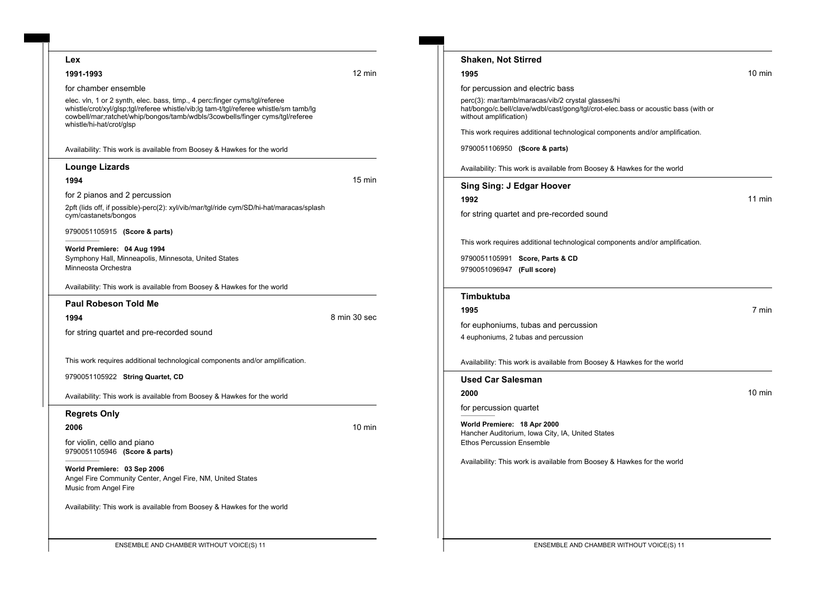| 10 min<br>perc(3): mar/tamb/maracas/vib/2 crystal glasses/hi<br>hat/bongo/c.bell/clave/wdbl/cast/gong/tgl/crot-elec.bass or acoustic bass (with or<br>This work requires additional technological components and/or amplification. |
|------------------------------------------------------------------------------------------------------------------------------------------------------------------------------------------------------------------------------------|
|                                                                                                                                                                                                                                    |
|                                                                                                                                                                                                                                    |
|                                                                                                                                                                                                                                    |
|                                                                                                                                                                                                                                    |
|                                                                                                                                                                                                                                    |
|                                                                                                                                                                                                                                    |
| Availability: This work is available from Boosey & Hawkes for the world                                                                                                                                                            |
|                                                                                                                                                                                                                                    |
| 11 min                                                                                                                                                                                                                             |
| for string quartet and pre-recorded sound                                                                                                                                                                                          |
|                                                                                                                                                                                                                                    |
| This work requires additional technological components and/or amplification.                                                                                                                                                       |
|                                                                                                                                                                                                                                    |
|                                                                                                                                                                                                                                    |
|                                                                                                                                                                                                                                    |
|                                                                                                                                                                                                                                    |
| 7 min                                                                                                                                                                                                                              |
| for euphoniums, tubas and percussion<br>4 euphoniums, 2 tubas and percussion                                                                                                                                                       |
| Availability: This work is available from Boosey & Hawkes for the world                                                                                                                                                            |
|                                                                                                                                                                                                                                    |
|                                                                                                                                                                                                                                    |
| 10 min                                                                                                                                                                                                                             |
|                                                                                                                                                                                                                                    |
|                                                                                                                                                                                                                                    |
| Hancher Auditorium, Iowa City, IA, United States                                                                                                                                                                                   |
| Availability: This work is available from Boosey & Hawkes for the world                                                                                                                                                            |
|                                                                                                                                                                                                                                    |
|                                                                                                                                                                                                                                    |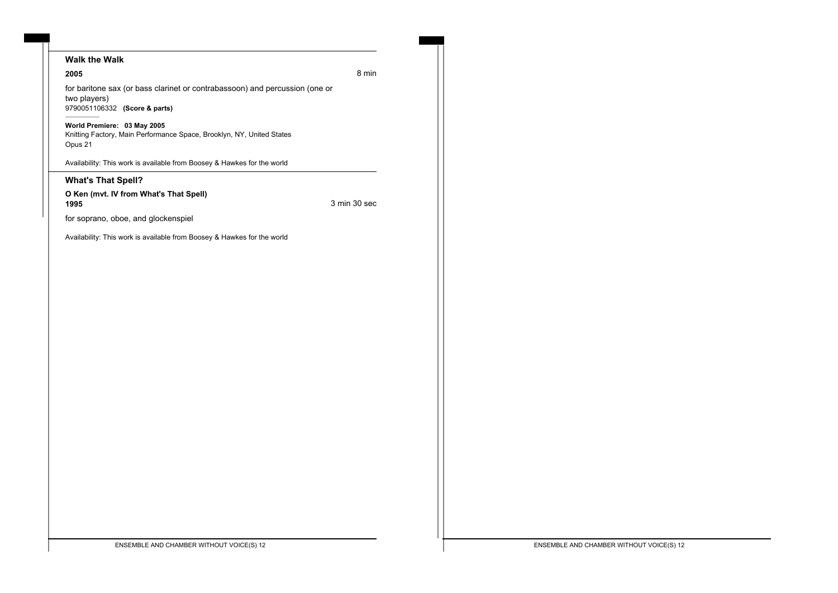# **Walk the Walk**

#### **2005** 8 min

for baritone sax (or bass clarinet or contrabassoon) and percussion (one or two players) 9790051106332 **(Score & parts)**

## **World Premiere: 03 May 2005**

Knitting Factory, Main Performance Space, Brooklyn, NY, United States Opus 21

Availability: This work is available from Boosey & Hawkes for the world

## **What's That Spell?**

#### **O Ken (mvt. IV from What's That Spell) 1995** 3 min 30 sec

for soprano, oboe, and glockenspiel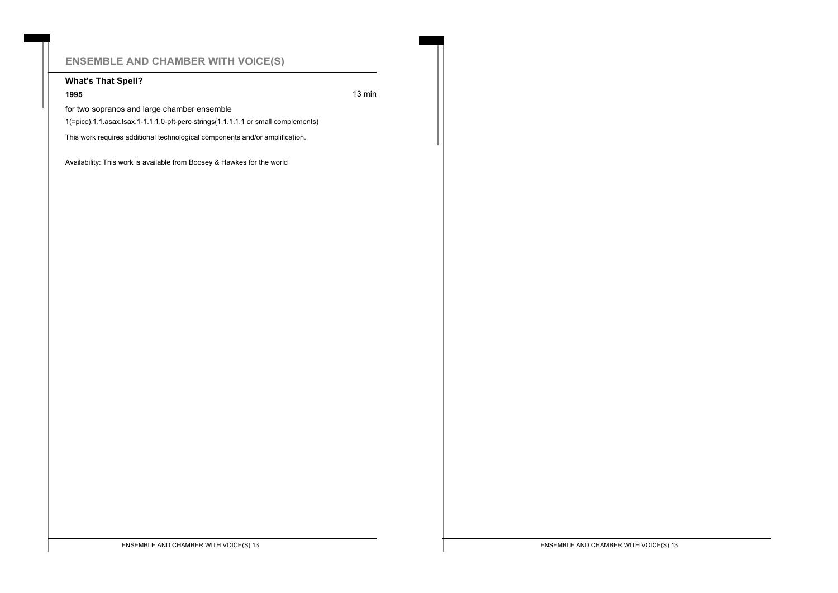# **ENSEMBLE AND CHAMBER WITH VOICE(S)**

# **What's That Spell?**

## **1995 13 minutes 13 minutes 13 minutes 13 minutes 13 minutes 13 minutes 13 minutes 13 minutes 13 minutes 13 minutes 13 minutes 13 minutes 13 minutes 14**  $\overline{a}$

for two sopranos and large chamber ensemble

1(=picc).1.1.asax.tsax.1-1.1.1.0-pft-perc-strings(1.1.1.1.1 or small complements)

This work requires additional technological components and/or amplification.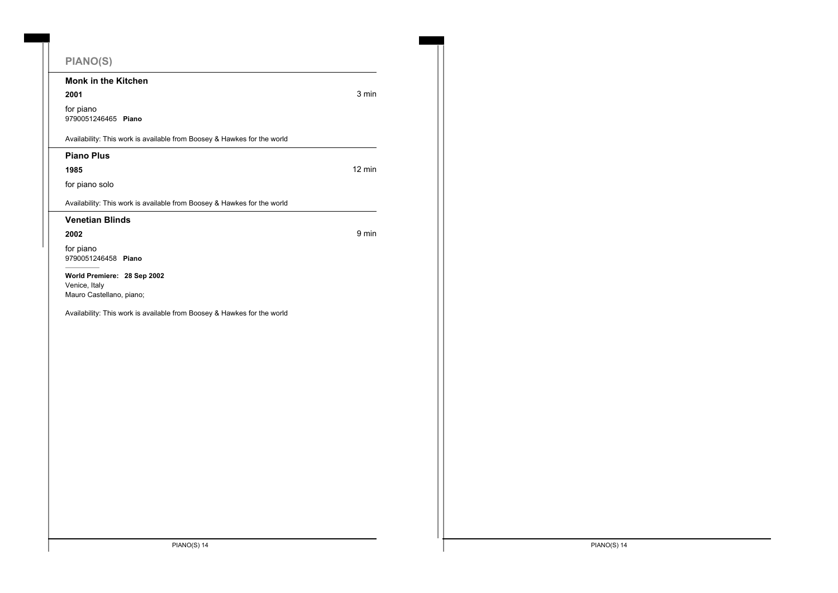# **PIANO(S)**

**Monk in the Kitchen**

**2001** 3 min

for piano 9790051246465 **Piano**

Availability: This work is available from Boosey & Hawkes for the world

**Piano Plus**

**1985** 12 min

for piano solo

Availability: This work is available from Boosey & Hawkes for the world

#### **Venetian Blinds**

**2002** 9 min

for piano 9790051246458 **Piano**

**World Premiere: 28 Sep 2002** Venice, Italy Mauro Castellano, piano;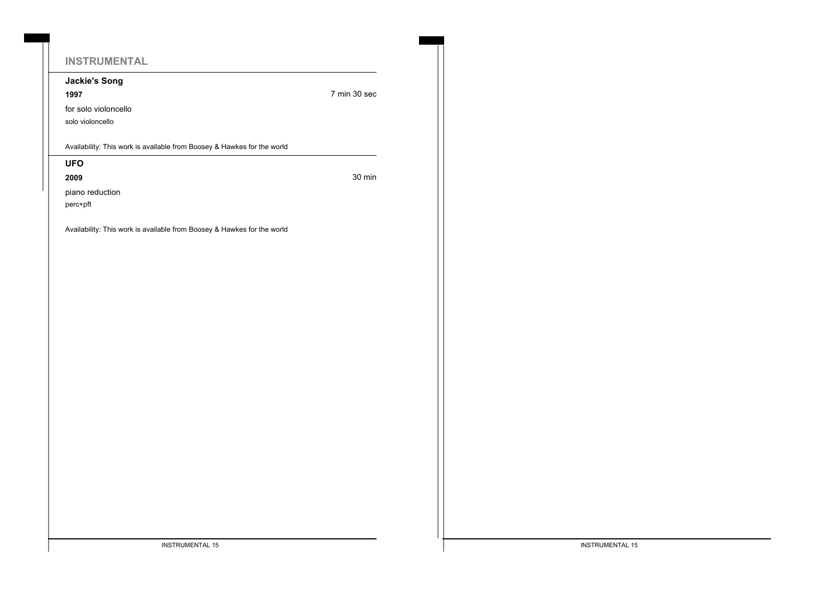# **INSTRUMENTAL**

**Jackie's Song**

**1997** 7 min 30 sec

for solo violoncello

solo violoncello

Availability: This work is available from Boosey & Hawkes for the world

# **UFO**

**2009** 30 min

piano reduction

perc+pft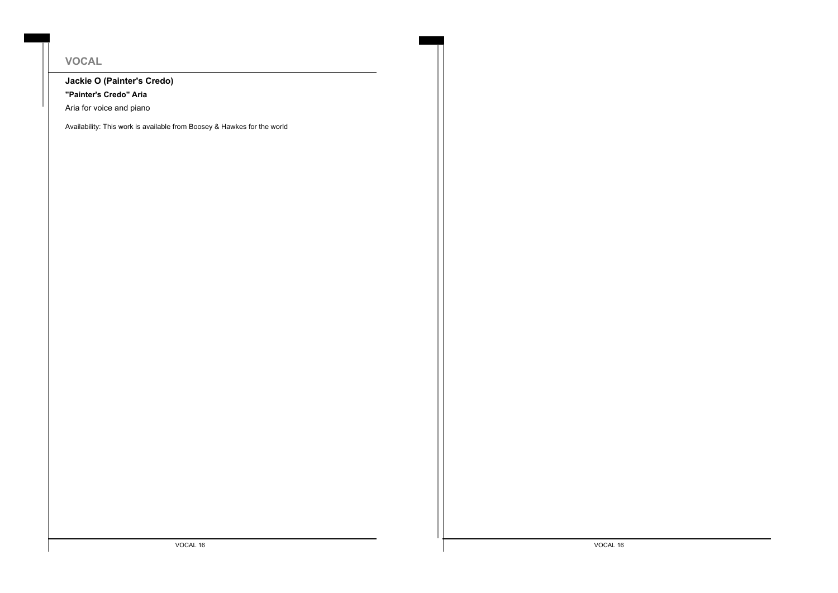# **VOCAL**

# **Jackie O (Painter's Credo)**

**"Painter's Credo" Aria**

Aria for voice and piano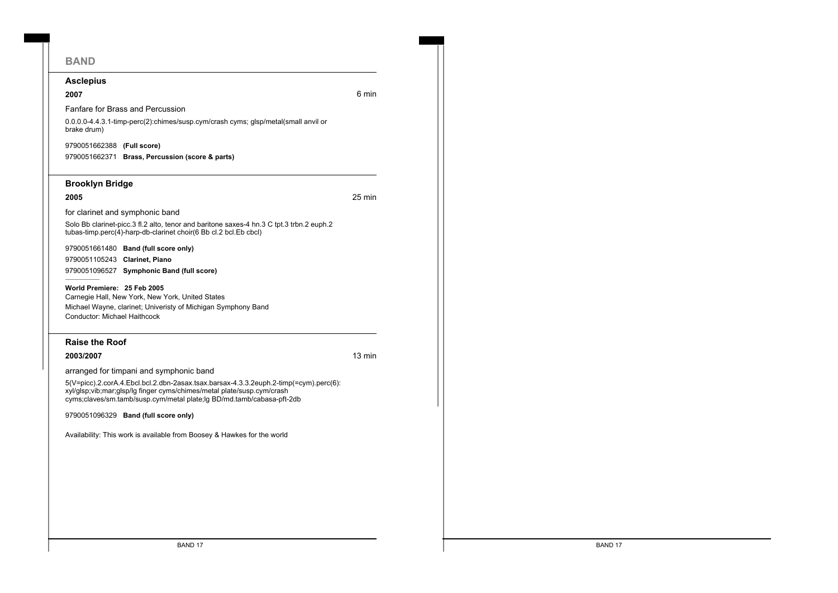# **BAND**

#### **Asclepius**

## **2007** 6 min

Fanfare for Brass and Percussion

0.0.0.0-4.4.3.1-timp-perc(2):chimes/susp.cym/crash cyms; glsp/metal(small anvil or brake drum)

9790051662388 **(Full score)** 9790051662371 **Brass, Percussion (score & parts)**

## **Brooklyn Bridge**

**2005** 25 min

for clarinet and symphonic band

Solo Bb clarinet-picc.3 fl.2 alto, tenor and baritone saxes-4 hn.3 C tpt.3 trbn.2 euph.2 tubas-timp.perc(4)-harp-db-clarinet choir(6 Bb cl.2 bcl.Eb cbcl)

9790051661480 **Band (full score only)** 9790051105243 **Clarinet, Piano** 9790051096527 **Symphonic Band (full score)**

#### **World Premiere: 25 Feb 2005**

Carnegie Hall, New York, New York, United States Michael Wayne, clarinet; Univeristy of Michigan Symphony Band Conductor: Michael Haithcock

## **Raise the Roof**

**2003/2007** 13 min

arranged for timpani and symphonic band

5(V=picc).2.corA.4.Ebcl.bcl.2.dbn-2asax.tsax.barsax-4.3.3.2euph.2-timp(=cym).perc(6): xyl/glsp;vib;mar;glsp/lg finger cyms/chimes/metal plate/susp.cym/crash cyms;claves/sm.tamb/susp.cym/metal plate;lg BD/md.tamb/cabasa-pft-2db

9790051096329 **Band (full score only)**